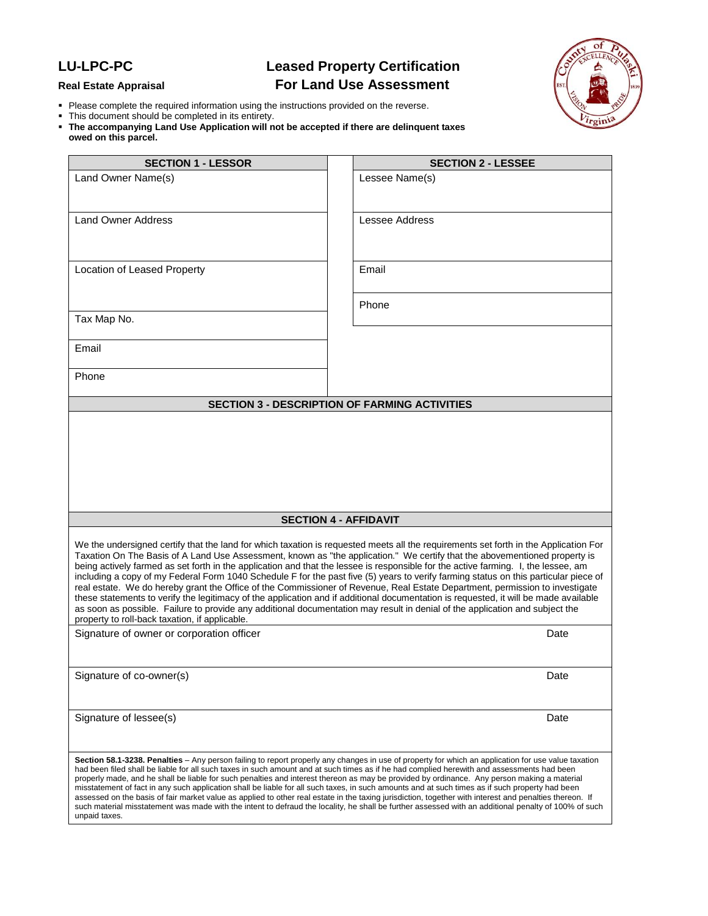## **LU-LPC-PC Leased Property Certification Real Estate Appraisal For Land Use Assessment**



- Please complete the required information using the instructions provided on the reverse.
- This document should be completed in its entirety.
- **The accompanying Land Use Application will not be accepted if there are delinquent taxes owed on this parcel.**

| <b>SECTION 1 - LESSOR</b>                                                                                                                                                                                                                                                                                                                                                                                                                                                                                                                                                                                                                                                                                                                                                                                                                                                                                                                                                                                  | <b>SECTION 2 - LESSEE</b>                            |
|------------------------------------------------------------------------------------------------------------------------------------------------------------------------------------------------------------------------------------------------------------------------------------------------------------------------------------------------------------------------------------------------------------------------------------------------------------------------------------------------------------------------------------------------------------------------------------------------------------------------------------------------------------------------------------------------------------------------------------------------------------------------------------------------------------------------------------------------------------------------------------------------------------------------------------------------------------------------------------------------------------|------------------------------------------------------|
| Land Owner Name(s)                                                                                                                                                                                                                                                                                                                                                                                                                                                                                                                                                                                                                                                                                                                                                                                                                                                                                                                                                                                         | Lessee Name(s)                                       |
| <b>Land Owner Address</b>                                                                                                                                                                                                                                                                                                                                                                                                                                                                                                                                                                                                                                                                                                                                                                                                                                                                                                                                                                                  | <b>Lessee Address</b>                                |
| Location of Leased Property                                                                                                                                                                                                                                                                                                                                                                                                                                                                                                                                                                                                                                                                                                                                                                                                                                                                                                                                                                                | Email                                                |
| Tax Map No.                                                                                                                                                                                                                                                                                                                                                                                                                                                                                                                                                                                                                                                                                                                                                                                                                                                                                                                                                                                                | Phone                                                |
| Email                                                                                                                                                                                                                                                                                                                                                                                                                                                                                                                                                                                                                                                                                                                                                                                                                                                                                                                                                                                                      |                                                      |
| Phone                                                                                                                                                                                                                                                                                                                                                                                                                                                                                                                                                                                                                                                                                                                                                                                                                                                                                                                                                                                                      |                                                      |
|                                                                                                                                                                                                                                                                                                                                                                                                                                                                                                                                                                                                                                                                                                                                                                                                                                                                                                                                                                                                            | <b>SECTION 3 - DESCRIPTION OF FARMING ACTIVITIES</b> |
|                                                                                                                                                                                                                                                                                                                                                                                                                                                                                                                                                                                                                                                                                                                                                                                                                                                                                                                                                                                                            |                                                      |
| <b>SECTION 4 - AFFIDAVIT</b>                                                                                                                                                                                                                                                                                                                                                                                                                                                                                                                                                                                                                                                                                                                                                                                                                                                                                                                                                                               |                                                      |
| We the undersigned certify that the land for which taxation is requested meets all the requirements set forth in the Application For<br>Taxation On The Basis of A Land Use Assessment, known as "the application." We certify that the abovementioned property is<br>being actively farmed as set forth in the application and that the lessee is responsible for the active farming. I, the lessee, am<br>including a copy of my Federal Form 1040 Schedule F for the past five (5) years to verify farming status on this particular piece of<br>real estate. We do hereby grant the Office of the Commissioner of Revenue, Real Estate Department, permission to investigate<br>these statements to verify the legitimacy of the application and if additional documentation is requested, it will be made available<br>as soon as possible. Failure to provide any additional documentation may result in denial of the application and subject the<br>property to roll-back taxation, if applicable. |                                                      |
| Signature of owner or corporation officer                                                                                                                                                                                                                                                                                                                                                                                                                                                                                                                                                                                                                                                                                                                                                                                                                                                                                                                                                                  | Date                                                 |
| Signature of co-owner(s)                                                                                                                                                                                                                                                                                                                                                                                                                                                                                                                                                                                                                                                                                                                                                                                                                                                                                                                                                                                   | Date                                                 |
| Signature of lessee(s)                                                                                                                                                                                                                                                                                                                                                                                                                                                                                                                                                                                                                                                                                                                                                                                                                                                                                                                                                                                     | Date                                                 |
| Section 58.1-3238. Penalties – Any person failing to report properly any changes in use of property for which an application for use value taxation<br>had been filed shall be liable for all such taxes in such amount and at such times as if he had complied herewith and assessments had been<br>properly made, and he shall be liable for such penalties and interest thereon as may be provided by ordinance. Any person making a material<br>misstatement of fact in any such application shall be liable for all such taxes, in such amounts and at such times as if such property had been<br>assessed on the basis of fair market value as applied to other real estate in the taxing jurisdiction, together with interest and penalties thereon. If<br>such material misstatement was made with the intent to defraud the locality, he shall be further assessed with an additional penalty of 100% of such<br>unpaid taxes.                                                                    |                                                      |